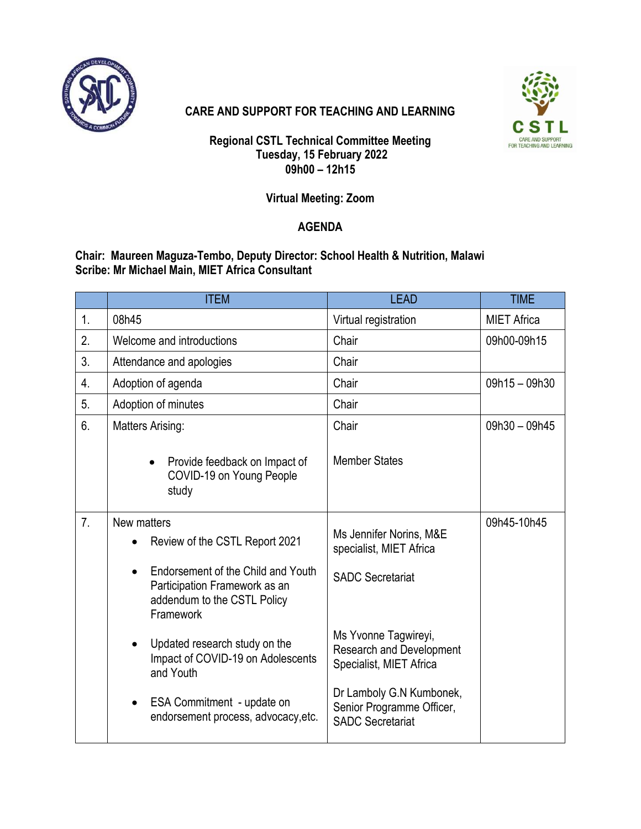

## **CARE AND SUPPORT FOR TEACHING AND LEARNING**



**Regional CSTL Technical Committee Meeting Tuesday, 15 February 2022 09h00 – 12h15**

## **Virtual Meeting: Zoom**

## **AGENDA**

**Chair: Maureen Maguza-Tembo, Deputy Director: School Health & Nutrition, Malawi Scribe: Mr Michael Main, MIET Africa Consultant**

|                | <b>ITEM</b>                                                                                                                  | <b>LEAD</b>                                                                        | <b>TIME</b>        |
|----------------|------------------------------------------------------------------------------------------------------------------------------|------------------------------------------------------------------------------------|--------------------|
| 1.             | 08h45                                                                                                                        | Virtual registration                                                               | <b>MIET Africa</b> |
| 2.             | Welcome and introductions                                                                                                    | Chair                                                                              | 09h00-09h15        |
| 3.             | Attendance and apologies                                                                                                     | Chair                                                                              |                    |
| 4.             | Adoption of agenda                                                                                                           | Chair                                                                              | 09h15 - 09h30      |
| 5.             | Adoption of minutes                                                                                                          | Chair                                                                              |                    |
| 6.             | Matters Arising:                                                                                                             | Chair                                                                              | 09h30 - 09h45      |
|                | Provide feedback on Impact of<br>COVID-19 on Young People<br>study                                                           | <b>Member States</b>                                                               |                    |
| 7 <sub>1</sub> | New matters<br>Review of the CSTL Report 2021                                                                                | Ms Jennifer Norins, M&E<br>specialist, MIET Africa                                 | 09h45-10h45        |
|                | Endorsement of the Child and Youth<br>$\bullet$<br>Participation Framework as an<br>addendum to the CSTL Policy<br>Framework | <b>SADC Secretariat</b>                                                            |                    |
|                | Updated research study on the<br>$\bullet$<br>Impact of COVID-19 on Adolescents<br>and Youth                                 | Ms Yvonne Tagwireyi,<br><b>Research and Development</b><br>Specialist, MIET Africa |                    |
|                | ESA Commitment - update on<br>$\bullet$<br>endorsement process, advocacy, etc.                                               | Dr Lamboly G.N Kumbonek,<br>Senior Programme Officer,<br><b>SADC Secretariat</b>   |                    |